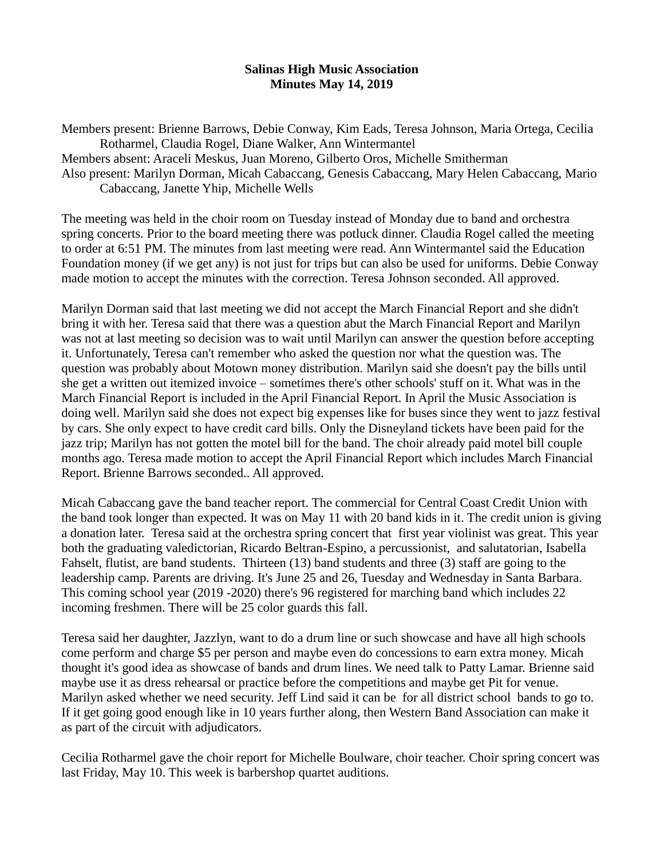## **Salinas High Music Association Minutes May 14, 2019**

Members present: Brienne Barrows, Debie Conway, Kim Eads, Teresa Johnson, Maria Ortega, Cecilia Rotharmel, Claudia Rogel, Diane Walker, Ann Wintermantel Members absent: Araceli Meskus, Juan Moreno, Gilberto Oros, Michelle Smitherman Also present: Marilyn Dorman, Micah Cabaccang, Genesis Cabaccang, Mary Helen Cabaccang, Mario Cabaccang, Janette Yhip, Michelle Wells

The meeting was held in the choir room on Tuesday instead of Monday due to band and orchestra spring concerts. Prior to the board meeting there was potluck dinner. Claudia Rogel called the meeting to order at 6:51 PM. The minutes from last meeting were read. Ann Wintermantel said the Education Foundation money (if we get any) is not just for trips but can also be used for uniforms. Debie Conway made motion to accept the minutes with the correction. Teresa Johnson seconded. All approved.

Marilyn Dorman said that last meeting we did not accept the March Financial Report and she didn't bring it with her. Teresa said that there was a question abut the March Financial Report and Marilyn was not at last meeting so decision was to wait until Marilyn can answer the question before accepting it. Unfortunately, Teresa can't remember who asked the question nor what the question was. The question was probably about Motown money distribution. Marilyn said she doesn't pay the bills until she get a written out itemized invoice – sometimes there's other schools' stuff on it. What was in the March Financial Report is included in the April Financial Report. In April the Music Association is doing well. Marilyn said she does not expect big expenses like for buses since they went to jazz festival by cars. She only expect to have credit card bills. Only the Disneyland tickets have been paid for the jazz trip; Marilyn has not gotten the motel bill for the band. The choir already paid motel bill couple months ago. Teresa made motion to accept the April Financial Report which includes March Financial Report. Brienne Barrows seconded.. All approved.

Micah Cabaccang gave the band teacher report. The commercial for Central Coast Credit Union with the band took longer than expected. It was on May 11 with 20 band kids in it. The credit union is giving a donation later. Teresa said at the orchestra spring concert that first year violinist was great. This year both the graduating valedictorian, Ricardo Beltran-Espino, a percussionist, and salutatorian, Isabella Fahselt, flutist, are band students. Thirteen (13) band students and three (3) staff are going to the leadership camp. Parents are driving. It's June 25 and 26, Tuesday and Wednesday in Santa Barbara. This coming school year (2019 -2020) there's 96 registered for marching band which includes 22 incoming freshmen. There will be 25 color guards this fall.

Teresa said her daughter, Jazzlyn, want to do a drum line or such showcase and have all high schools come perform and charge \$5 per person and maybe even do concessions to earn extra money. Micah thought it's good idea as showcase of bands and drum lines. We need talk to Patty Lamar. Brienne said maybe use it as dress rehearsal or practice before the competitions and maybe get Pit for venue. Marilyn asked whether we need security. Jeff Lind said it can be for all district school bands to go to. If it get going good enough like in 10 years further along, then Western Band Association can make it as part of the circuit with adjudicators.

Cecilia Rotharmel gave the choir report for Michelle Boulware, choir teacher. Choir spring concert was last Friday, May 10. This week is barbershop quartet auditions.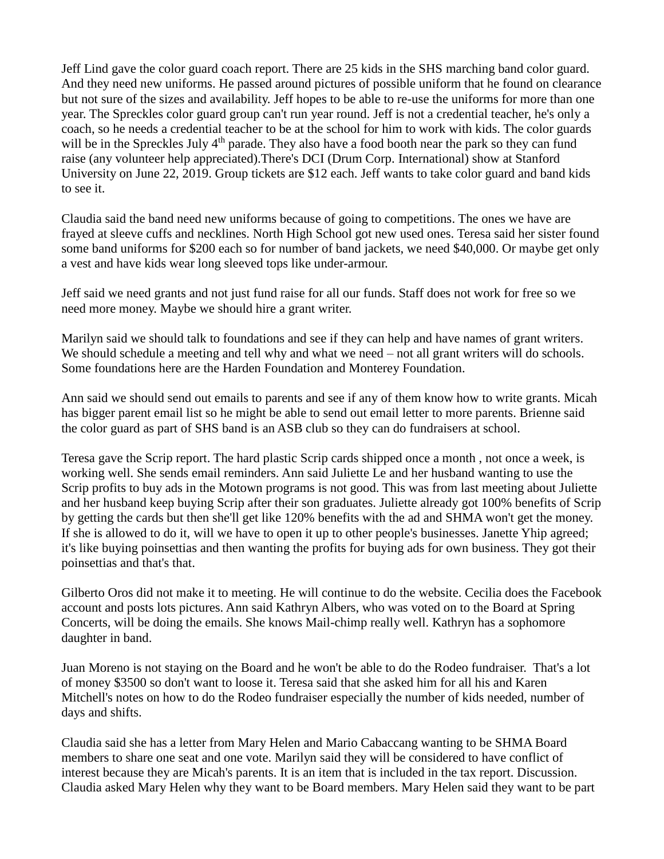Jeff Lind gave the color guard coach report. There are 25 kids in the SHS marching band color guard. And they need new uniforms. He passed around pictures of possible uniform that he found on clearance but not sure of the sizes and availability. Jeff hopes to be able to re-use the uniforms for more than one year. The Spreckles color guard group can't run year round. Jeff is not a credential teacher, he's only a coach, so he needs a credential teacher to be at the school for him to work with kids. The color guards will be in the Spreckles July 4<sup>th</sup> parade. They also have a food booth near the park so they can fund raise (any volunteer help appreciated).There's DCI (Drum Corp. International) show at Stanford University on June 22, 2019. Group tickets are \$12 each. Jeff wants to take color guard and band kids to see it.

Claudia said the band need new uniforms because of going to competitions. The ones we have are frayed at sleeve cuffs and necklines. North High School got new used ones. Teresa said her sister found some band uniforms for \$200 each so for number of band jackets, we need \$40,000. Or maybe get only a vest and have kids wear long sleeved tops like under-armour.

Jeff said we need grants and not just fund raise for all our funds. Staff does not work for free so we need more money. Maybe we should hire a grant writer.

Marilyn said we should talk to foundations and see if they can help and have names of grant writers. We should schedule a meeting and tell why and what we need – not all grant writers will do schools. Some foundations here are the Harden Foundation and Monterey Foundation.

Ann said we should send out emails to parents and see if any of them know how to write grants. Micah has bigger parent email list so he might be able to send out email letter to more parents. Brienne said the color guard as part of SHS band is an ASB club so they can do fundraisers at school.

Teresa gave the Scrip report. The hard plastic Scrip cards shipped once a month , not once a week, is working well. She sends email reminders. Ann said Juliette Le and her husband wanting to use the Scrip profits to buy ads in the Motown programs is not good. This was from last meeting about Juliette and her husband keep buying Scrip after their son graduates. Juliette already got 100% benefits of Scrip by getting the cards but then she'll get like 120% benefits with the ad and SHMA won't get the money. If she is allowed to do it, will we have to open it up to other people's businesses. Janette Yhip agreed; it's like buying poinsettias and then wanting the profits for buying ads for own business. They got their poinsettias and that's that.

Gilberto Oros did not make it to meeting. He will continue to do the website. Cecilia does the Facebook account and posts lots pictures. Ann said Kathryn Albers, who was voted on to the Board at Spring Concerts, will be doing the emails. She knows Mail-chimp really well. Kathryn has a sophomore daughter in band.

Juan Moreno is not staying on the Board and he won't be able to do the Rodeo fundraiser. That's a lot of money \$3500 so don't want to loose it. Teresa said that she asked him for all his and Karen Mitchell's notes on how to do the Rodeo fundraiser especially the number of kids needed, number of days and shifts.

Claudia said she has a letter from Mary Helen and Mario Cabaccang wanting to be SHMA Board members to share one seat and one vote. Marilyn said they will be considered to have conflict of interest because they are Micah's parents. It is an item that is included in the tax report. Discussion. Claudia asked Mary Helen why they want to be Board members. Mary Helen said they want to be part